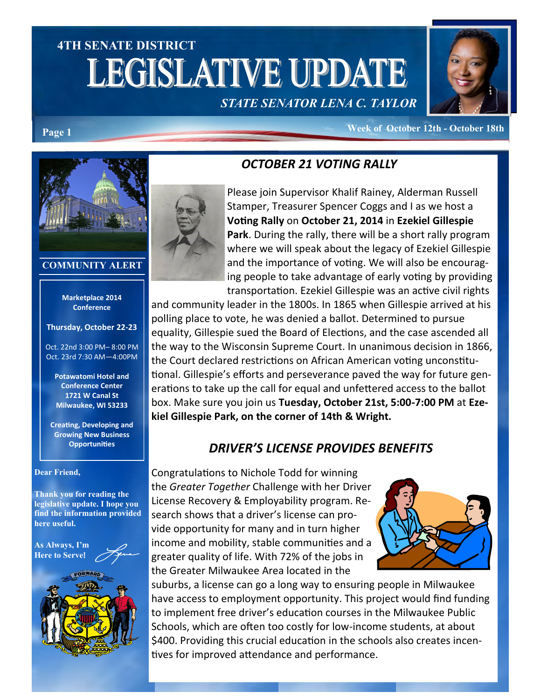# **4TH SENATE DISTRICT LEGISLATIVE UPDATE** *STATE SENATOR LENA C. TAYLOR*



**Page 1 Week of October 12th - October 18th** 

## *OCTOBER 21 VOTING RALLY*



### Please join Supervisor Khalif Rainey, Alderman Russell Stamper, Treasurer Spencer Coggs and I as we host a **Voting Rally** on **October 21, 2014** in **Ezekiel Gillespie Park**. During the rally, there will be a short rally program where we will speak about the legacy of Ezekiel Gillespie and the importance of voting. We will also be encouraging people to take advantage of early voting by providing transportation. Ezekiel Gillespie was an active civil rights

and community leader in the 1800s. In 1865 when Gillespie arrived at his polling place to vote, he was denied a ballot. Determined to pursue equality, Gillespie sued the Board of Elections, and the case ascended all the way to the Wisconsin Supreme Court. In unanimous decision in 1866, the Court declared restrictions on African American voting unconstitutional. Gillespie's efforts and perseverance paved the way for future generations to take up the call for equal and unfettered access to the ballot box. Make sure you join us **Tuesday, October 21st, 5:00-7:00 PM** at **Ezekiel Gillespie Park, on the corner of 14th & Wright.**

## *DRIVER'S LICENSE PROVIDES BENEFITS*

Congratulations to Nichole Todd for winning the *Greater Together* Challenge with her Driver License Recovery & Employability program. Research shows that a driver's license can provide opportunity for many and in turn higher income and mobility, stable communities and a greater quality of life. With 72% of the jobs in the Greater Milwaukee Area located in the



suburbs, a license can go a long way to ensuring people in Milwaukee have access to employment opportunity. This project would find funding to implement free driver's education courses in the Milwaukee Public Schools, which are often too costly for low-income students, at about \$400. Providing this crucial education in the schools also creates incentives for improved attendance and performance.



#### **COMMUNITY ALERT**

#### **Marketplace 2014 Conference**

**Thursday, October 22-23**

Oct. 22nd 3:00 PM– 8:00 PM Oct. 23rd 7:30 AM—4:00PM

**Potawatomi Hotel and Conference Center 1721 W Canal St Milwaukee, WI 53233**

**Creating, Developing and Growing New Business Opportunities**

#### **Dear Friend,**

**Thank you for reading the legislative update. I hope you find the information provided here useful.**

**As Always, I'm Here to Serve**!